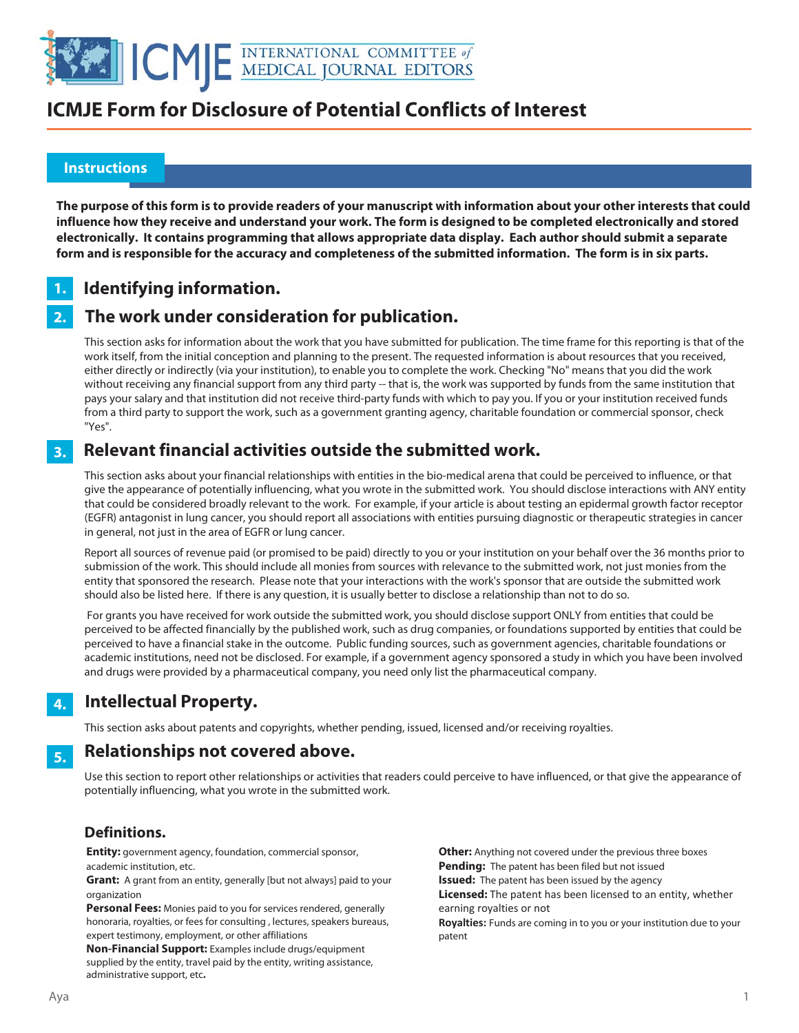

### **Instructions**

 

> **The purpose of this form is to provide readers of your manuscript with information about your other interests that could influence how they receive and understand your work. The form is designed to be completed electronically and stored electronically. It contains programming that allows appropriate data display. Each author should submit a separate form and is responsible for the accuracy and completeness of the submitted information. The form is in six parts.**

### **Identifying information. 1.**

### **The work under consideration for publication. 2.**

This section asks for information about the work that you have submitted for publication. The time frame for this reporting is that of the work itself, from the initial conception and planning to the present. The requested information is about resources that you received, either directly or indirectly (via your institution), to enable you to complete the work. Checking "No" means that you did the work without receiving any financial support from any third party -- that is, the work was supported by funds from the same institution that pays your salary and that institution did not receive third-party funds with which to pay you. If you or your institution received funds from a third party to support the work, such as a government granting agency, charitable foundation or commercial sponsor, check "Yes".

#### **Relevant financial activities outside the submitted work. 3.**

This section asks about your financial relationships with entities in the bio-medical arena that could be perceived to influence, or that give the appearance of potentially influencing, what you wrote in the submitted work. You should disclose interactions with ANY entity that could be considered broadly relevant to the work. For example, if your article is about testing an epidermal growth factor receptor (EGFR) antagonist in lung cancer, you should report all associations with entities pursuing diagnostic or therapeutic strategies in cancer in general, not just in the area of EGFR or lung cancer.

Report all sources of revenue paid (or promised to be paid) directly to you or your institution on your behalf over the 36 months prior to submission of the work. This should include all monies from sources with relevance to the submitted work, not just monies from the entity that sponsored the research. Please note that your interactions with the work's sponsor that are outside the submitted work should also be listed here. If there is any question, it is usually better to disclose a relationship than not to do so.

 For grants you have received for work outside the submitted work, you should disclose support ONLY from entities that could be perceived to be affected financially by the published work, such as drug companies, or foundations supported by entities that could be perceived to have a financial stake in the outcome. Public funding sources, such as government agencies, charitable foundations or academic institutions, need not be disclosed. For example, if a government agency sponsored a study in which you have been involved and drugs were provided by a pharmaceutical company, you need only list the pharmaceutical company.

### **Intellectual Property. 4.**

This section asks about patents and copyrights, whether pending, issued, licensed and/or receiving royalties.

#### **Relationships not covered above. 5.**

Use this section to report other relationships or activities that readers could perceive to have influenced, or that give the appearance of potentially influencing, what you wrote in the submitted work.

### **Definitions.**

**Entity:** government agency, foundation, commercial sponsor, academic institution, etc.

**Grant:** A grant from an entity, generally [but not always] paid to your organization

**Personal Fees:** Monies paid to you for services rendered, generally honoraria, royalties, or fees for consulting , lectures, speakers bureaus, expert testimony, employment, or other affiliations

**Non-Financial Support:** Examples include drugs/equipment supplied by the entity, travel paid by the entity, writing assistance, administrative support, etc**.**

**Other:** Anything not covered under the previous three boxes **Pending:** The patent has been filed but not issued **Issued:** The patent has been issued by the agency **Licensed:** The patent has been licensed to an entity, whether earning royalties or not

**Royalties:** Funds are coming in to you or your institution due to your patent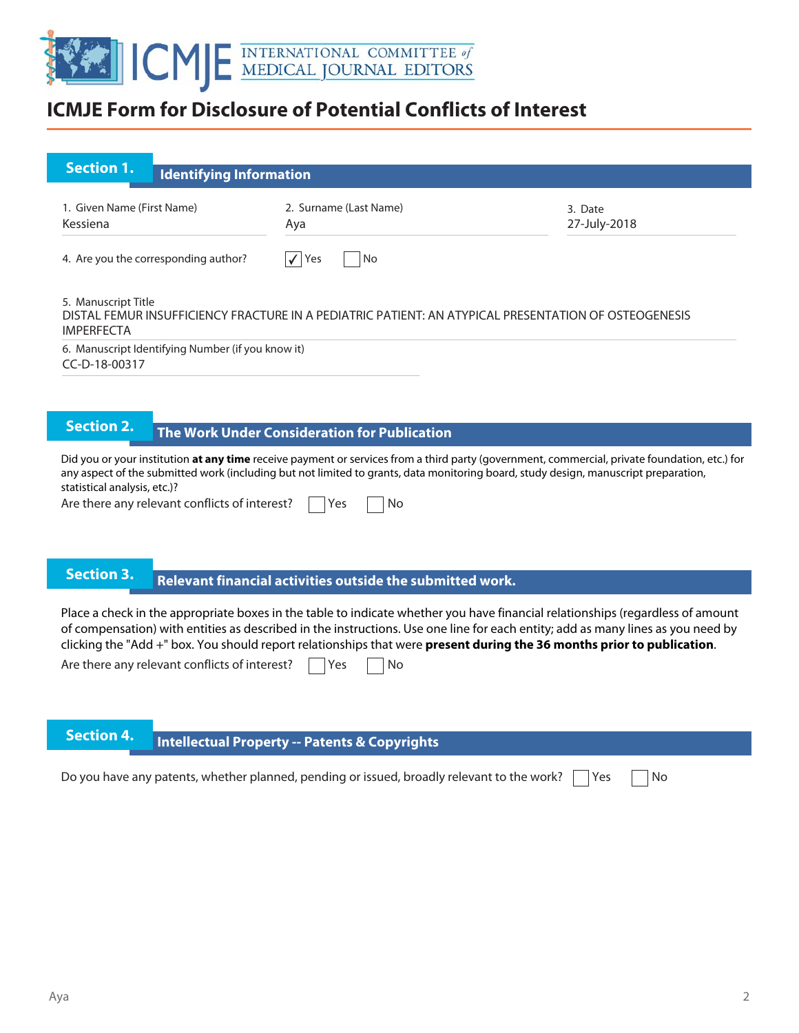

| 1. Given Name (First Name)                                         | 2. Surname (Last Name)                                                                               | 3. Date      |
|--------------------------------------------------------------------|------------------------------------------------------------------------------------------------------|--------------|
| Kessiena                                                           | Aya                                                                                                  | 27-July-2018 |
| 4. Are you the corresponding author?                               | $\checkmark$<br>Yes<br>No                                                                            |              |
|                                                                    |                                                                                                      |              |
|                                                                    |                                                                                                      |              |
|                                                                    |                                                                                                      |              |
| 5. Manuscript Title<br><b>IMPERFECTA</b>                           | DISTAL FEMUR INSUFFICIENCY FRACTURE IN A PEDIATRIC PATIENT: AN ATYPICAL PRESENTATION OF OSTEOGENESIS |              |
| 6. Manuscript Identifying Number (if you know it)<br>CC-D-18-00317 |                                                                                                      |              |

### **The Work Under Consideration for Publication Section 2.**

Did you or your institution **at any time** receive payment or services from a third party (government, commercial, private foundation, etc.) for any aspect of the submitted work (including but not limited to grants, data monitoring board, study design, manuscript preparation, statistical analysis, etc.)?

| Are there any relevant conflicts of interest? | Yes | l No |
|-----------------------------------------------|-----|------|
|-----------------------------------------------|-----|------|

# **Relevant financial activities outside the submitted work. Section 3. Relevant financial activities outset**

Place a check in the appropriate boxes in the table to indicate whether you have financial relationships (regardless of amount of compensation) with entities as described in the instructions. Use one line for each entity; add as many lines as you need by clicking the "Add +" box. You should report relationships that were **present during the 36 months prior to publication**.

Are there any relevant conflicts of interest?  $\Box$  Yes  $\Box$  No

# **Intellectual Property -- Patents & Copyrights**

|  | Do you have any patents, whether planned, pending or issued, broadly relevant to the work? $\Box$ Yes |  | $\Box$ No |  |
|--|-------------------------------------------------------------------------------------------------------|--|-----------|--|
|--|-------------------------------------------------------------------------------------------------------|--|-----------|--|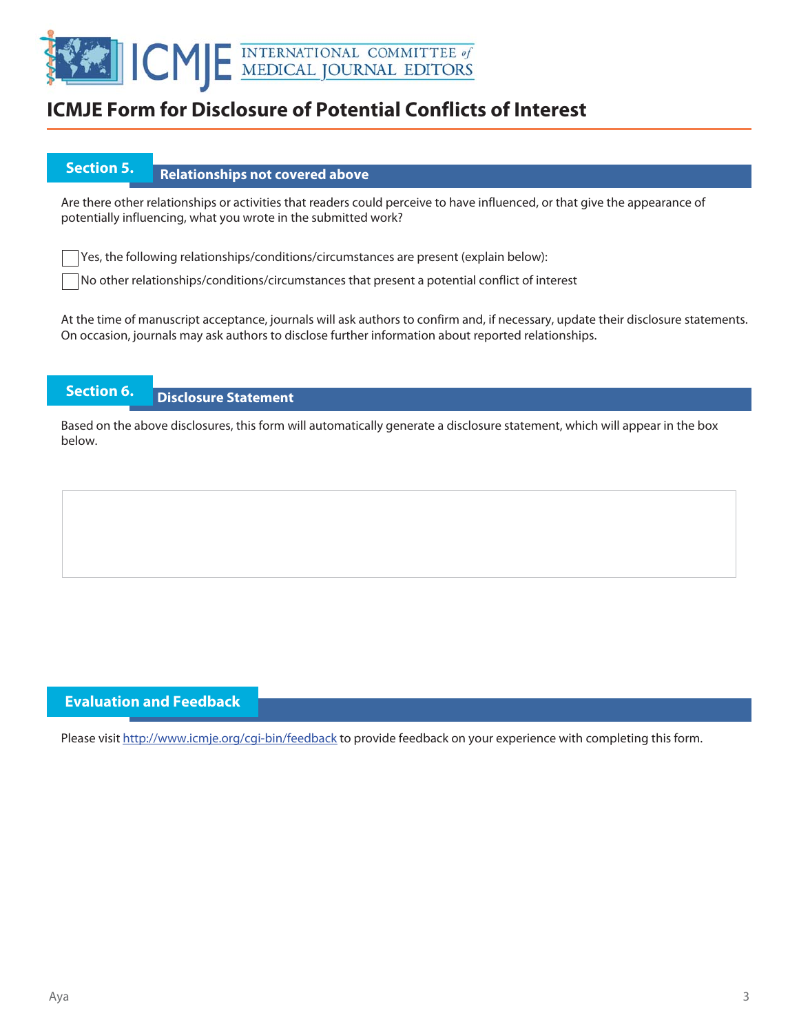

## **Section 5.** Relationships not covered above

Are there other relationships or activities that readers could perceive to have influenced, or that give the appearance of potentially influencing, what you wrote in the submitted work?

Yes, the following relationships/conditions/circumstances are present (explain below):

No other relationships/conditions/circumstances that present a potential conflict of interest

At the time of manuscript acceptance, journals will ask authors to confirm and, if necessary, update their disclosure statements. On occasion, journals may ask authors to disclose further information about reported relationships.

## **Section 6. Disclosure Statement**

Based on the above disclosures, this form will automatically generate a disclosure statement, which will appear in the box below.

### **Evaluation and Feedback**

Please visit http://www.icmje.org/cgi-bin/feedback to provide feedback on your experience with completing this form.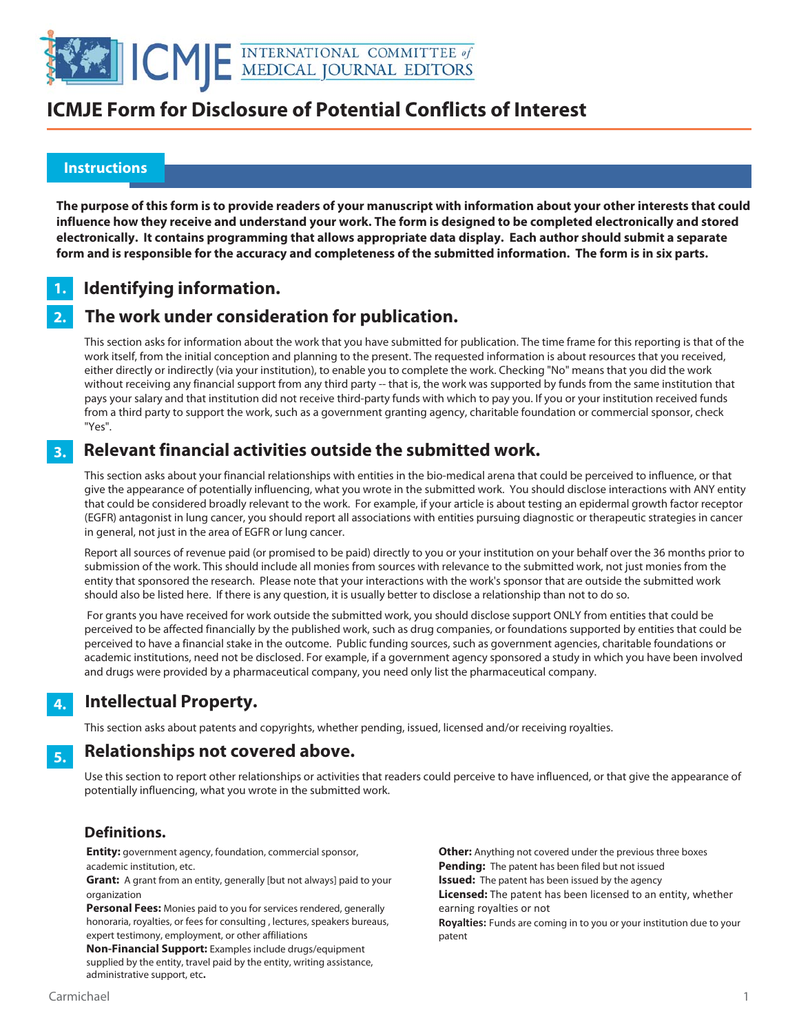

### **Instructions**

 

> **The purpose of this form is to provide readers of your manuscript with information about your other interests that could influence how they receive and understand your work. The form is designed to be completed electronically and stored electronically. It contains programming that allows appropriate data display. Each author should submit a separate form and is responsible for the accuracy and completeness of the submitted information. The form is in six parts.**

### **Identifying information. 1.**

### **The work under consideration for publication. 2.**

This section asks for information about the work that you have submitted for publication. The time frame for this reporting is that of the work itself, from the initial conception and planning to the present. The requested information is about resources that you received, either directly or indirectly (via your institution), to enable you to complete the work. Checking "No" means that you did the work without receiving any financial support from any third party -- that is, the work was supported by funds from the same institution that pays your salary and that institution did not receive third-party funds with which to pay you. If you or your institution received funds from a third party to support the work, such as a government granting agency, charitable foundation or commercial sponsor, check "Yes".

#### **Relevant financial activities outside the submitted work. 3.**

This section asks about your financial relationships with entities in the bio-medical arena that could be perceived to influence, or that give the appearance of potentially influencing, what you wrote in the submitted work. You should disclose interactions with ANY entity that could be considered broadly relevant to the work. For example, if your article is about testing an epidermal growth factor receptor (EGFR) antagonist in lung cancer, you should report all associations with entities pursuing diagnostic or therapeutic strategies in cancer in general, not just in the area of EGFR or lung cancer.

Report all sources of revenue paid (or promised to be paid) directly to you or your institution on your behalf over the 36 months prior to submission of the work. This should include all monies from sources with relevance to the submitted work, not just monies from the entity that sponsored the research. Please note that your interactions with the work's sponsor that are outside the submitted work should also be listed here. If there is any question, it is usually better to disclose a relationship than not to do so.

 For grants you have received for work outside the submitted work, you should disclose support ONLY from entities that could be perceived to be affected financially by the published work, such as drug companies, or foundations supported by entities that could be perceived to have a financial stake in the outcome. Public funding sources, such as government agencies, charitable foundations or academic institutions, need not be disclosed. For example, if a government agency sponsored a study in which you have been involved and drugs were provided by a pharmaceutical company, you need only list the pharmaceutical company.

### **Intellectual Property. 4.**

This section asks about patents and copyrights, whether pending, issued, licensed and/or receiving royalties.

#### **Relationships not covered above. 5.**

Use this section to report other relationships or activities that readers could perceive to have influenced, or that give the appearance of potentially influencing, what you wrote in the submitted work.

### **Definitions.**

**Entity:** government agency, foundation, commercial sponsor, academic institution, etc.

**Grant:** A grant from an entity, generally [but not always] paid to your organization

**Personal Fees:** Monies paid to you for services rendered, generally honoraria, royalties, or fees for consulting , lectures, speakers bureaus, expert testimony, employment, or other affiliations

**Non-Financial Support:** Examples include drugs/equipment supplied by the entity, travel paid by the entity, writing assistance, administrative support, etc**.**

**Other:** Anything not covered under the previous three boxes **Pending:** The patent has been filed but not issued **Issued:** The patent has been issued by the agency **Licensed:** The patent has been licensed to an entity, whether earning royalties or not

**Royalties:** Funds are coming in to you or your institution due to your patent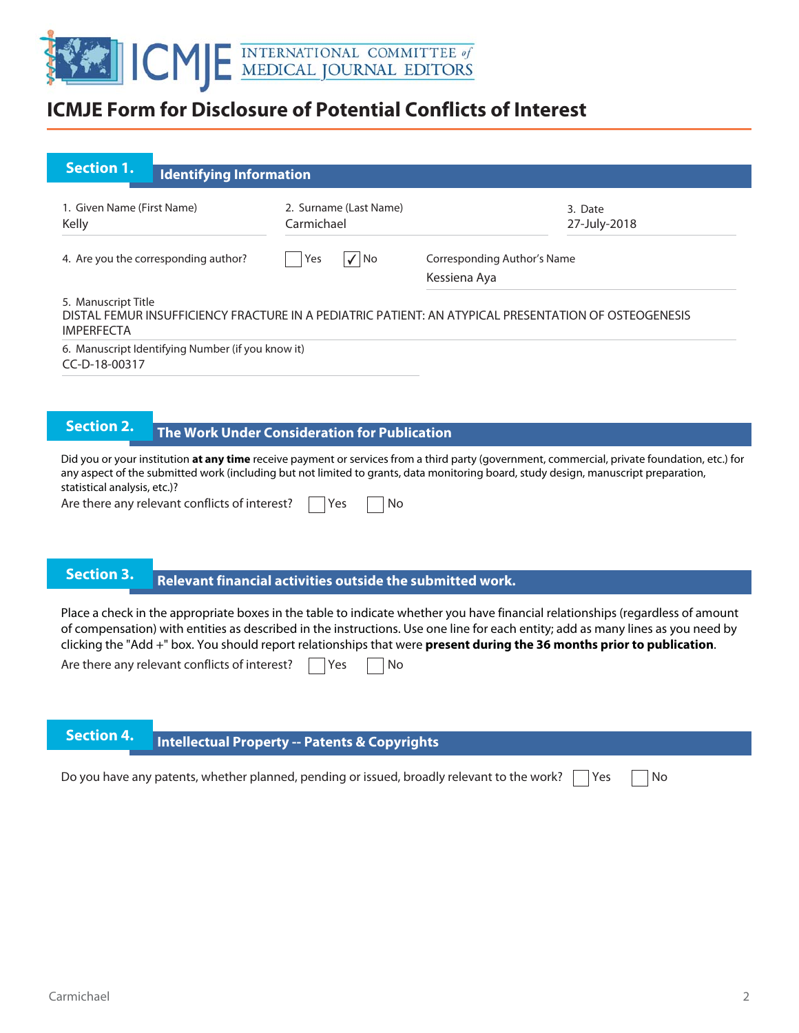

| <b>Section 1.</b><br><b>Identifying Information</b>                |                                              |                                                                                                      |
|--------------------------------------------------------------------|----------------------------------------------|------------------------------------------------------------------------------------------------------|
| 1. Given Name (First Name)<br>Kelly                                | 2. Surname (Last Name)<br>Carmichael         | 3. Date<br>27-July-2018                                                                              |
| 4. Are you the corresponding author?                               | Yes<br>No<br>$\checkmark$                    | Corresponding Author's Name<br>Kessiena Aya                                                          |
| 5. Manuscript Title<br><b>IMPERFECTA</b>                           |                                              | DISTAL FEMUR INSUFFICIENCY FRACTURE IN A PEDIATRIC PATIENT: AN ATYPICAL PRESENTATION OF OSTEOGENESIS |
| 6. Manuscript Identifying Number (if you know it)<br>CC-D-18-00317 |                                              |                                                                                                      |
|                                                                    |                                              |                                                                                                      |
| <b>Section 2.</b>                                                  | The Work Under Consideration for Publication |                                                                                                      |

Did you or your institution **at any time** receive payment or services from a third party (government, commercial, private foundation, etc.) for any aspect of the submitted work (including but not limited to grants, data monitoring board, study design, manuscript preparation, statistical analysis, etc.)?

Are there any relevant conflicts of interest?  $\Box$  Yes  $\Box$  No

# **Relevant financial activities outside the submitted work. Section 3. Relevant financial activities outset**

Place a check in the appropriate boxes in the table to indicate whether you have financial relationships (regardless of amount of compensation) with entities as described in the instructions. Use one line for each entity; add as many lines as you need by clicking the "Add +" box. You should report relationships that were **present during the 36 months prior to publication**.

Are there any relevant conflicts of interest?  $\Box$  Yes  $\Box$  No

# **Intellectual Property -- Patents & Copyrights**

Do you have any patents, whether planned, pending or issued, broadly relevant to the work?  $\vert \ \vert$  Yes  $\vert \ \vert$  No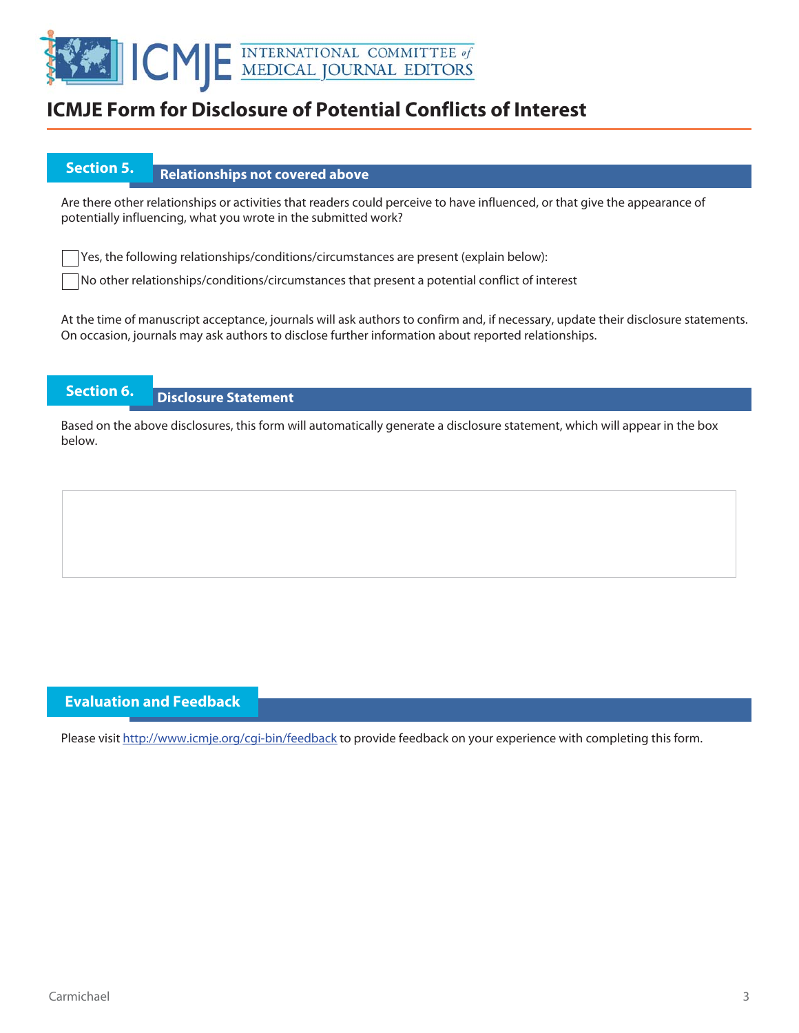

## **Section 5.** Relationships not covered above

Are there other relationships or activities that readers could perceive to have influenced, or that give the appearance of potentially influencing, what you wrote in the submitted work?

Yes, the following relationships/conditions/circumstances are present (explain below):

No other relationships/conditions/circumstances that present a potential conflict of interest

At the time of manuscript acceptance, journals will ask authors to confirm and, if necessary, update their disclosure statements. On occasion, journals may ask authors to disclose further information about reported relationships.

## **Section 6. Disclosure Statement**

Based on the above disclosures, this form will automatically generate a disclosure statement, which will appear in the box below.

### **Evaluation and Feedback**

Please visit http://www.icmje.org/cgi-bin/feedback to provide feedback on your experience with completing this form.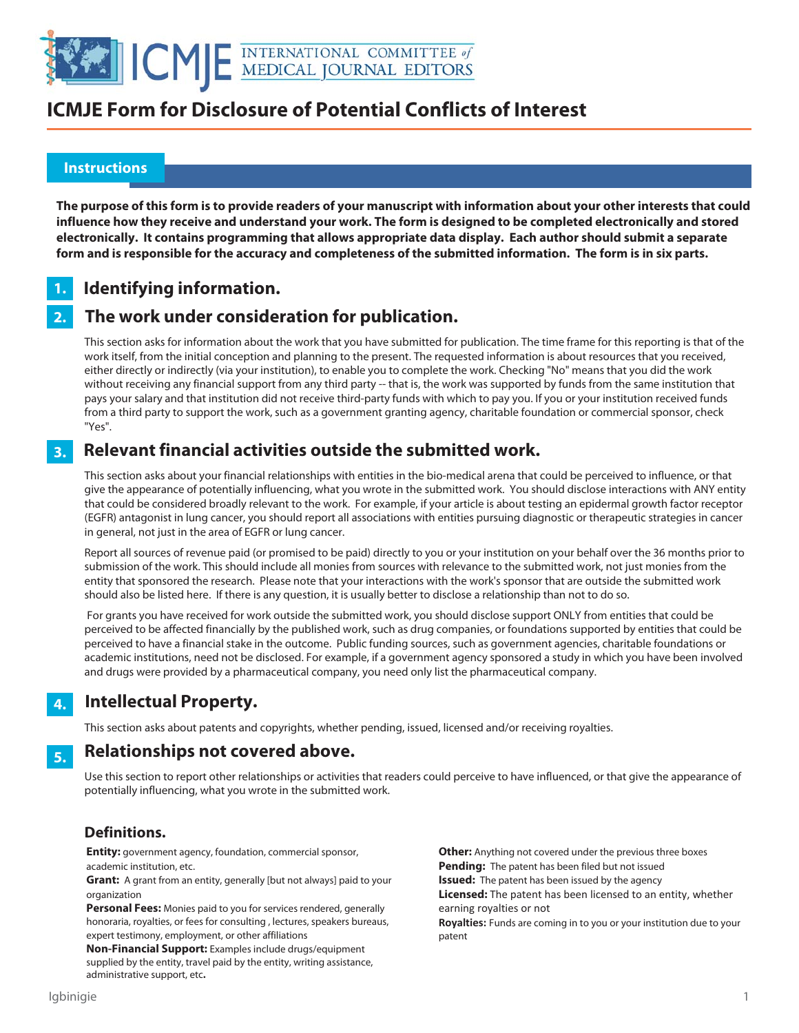

### **Instructions**

 

> **The purpose of this form is to provide readers of your manuscript with information about your other interests that could influence how they receive and understand your work. The form is designed to be completed electronically and stored electronically. It contains programming that allows appropriate data display. Each author should submit a separate form and is responsible for the accuracy and completeness of the submitted information. The form is in six parts.**

### **Identifying information. 1.**

### **The work under consideration for publication. 2.**

This section asks for information about the work that you have submitted for publication. The time frame for this reporting is that of the work itself, from the initial conception and planning to the present. The requested information is about resources that you received, either directly or indirectly (via your institution), to enable you to complete the work. Checking "No" means that you did the work without receiving any financial support from any third party -- that is, the work was supported by funds from the same institution that pays your salary and that institution did not receive third-party funds with which to pay you. If you or your institution received funds from a third party to support the work, such as a government granting agency, charitable foundation or commercial sponsor, check "Yes".

#### **Relevant financial activities outside the submitted work. 3.**

This section asks about your financial relationships with entities in the bio-medical arena that could be perceived to influence, or that give the appearance of potentially influencing, what you wrote in the submitted work. You should disclose interactions with ANY entity that could be considered broadly relevant to the work. For example, if your article is about testing an epidermal growth factor receptor (EGFR) antagonist in lung cancer, you should report all associations with entities pursuing diagnostic or therapeutic strategies in cancer in general, not just in the area of EGFR or lung cancer.

Report all sources of revenue paid (or promised to be paid) directly to you or your institution on your behalf over the 36 months prior to submission of the work. This should include all monies from sources with relevance to the submitted work, not just monies from the entity that sponsored the research. Please note that your interactions with the work's sponsor that are outside the submitted work should also be listed here. If there is any question, it is usually better to disclose a relationship than not to do so.

 For grants you have received for work outside the submitted work, you should disclose support ONLY from entities that could be perceived to be affected financially by the published work, such as drug companies, or foundations supported by entities that could be perceived to have a financial stake in the outcome. Public funding sources, such as government agencies, charitable foundations or academic institutions, need not be disclosed. For example, if a government agency sponsored a study in which you have been involved and drugs were provided by a pharmaceutical company, you need only list the pharmaceutical company.

### **Intellectual Property. 4.**

This section asks about patents and copyrights, whether pending, issued, licensed and/or receiving royalties.

#### **Relationships not covered above. 5.**

Use this section to report other relationships or activities that readers could perceive to have influenced, or that give the appearance of potentially influencing, what you wrote in the submitted work.

### **Definitions.**

**Entity:** government agency, foundation, commercial sponsor, academic institution, etc.

**Grant:** A grant from an entity, generally [but not always] paid to your organization

**Personal Fees:** Monies paid to you for services rendered, generally honoraria, royalties, or fees for consulting , lectures, speakers bureaus, expert testimony, employment, or other affiliations

**Non-Financial Support:** Examples include drugs/equipment supplied by the entity, travel paid by the entity, writing assistance, administrative support, etc**.**

**Other:** Anything not covered under the previous three boxes **Pending:** The patent has been filed but not issued **Issued:** The patent has been issued by the agency **Licensed:** The patent has been licensed to an entity, whether earning royalties or not

**Royalties:** Funds are coming in to you or your institution due to your patent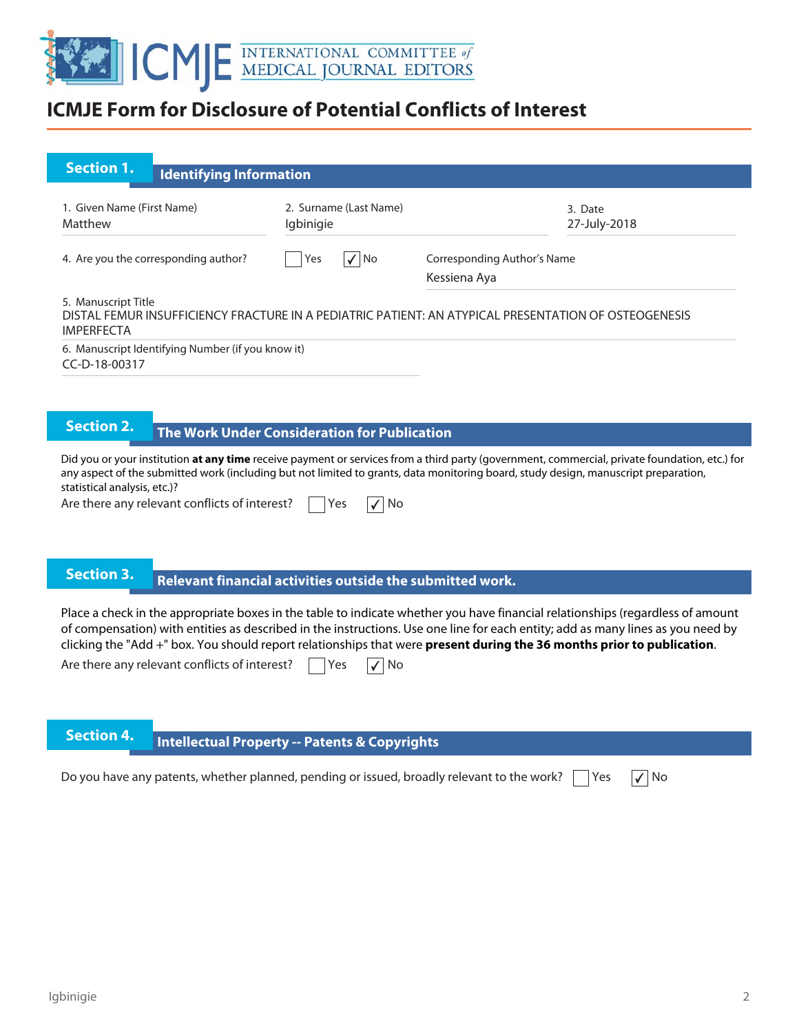

| 1. Given Name (First Name)<br>2. Surname (Last Name)<br>Matthew<br>Igbinigie                                                                     | 3. Date                     |
|--------------------------------------------------------------------------------------------------------------------------------------------------|-----------------------------|
|                                                                                                                                                  | 27-July-2018                |
| 4. Are you the corresponding author?<br>$\sqrt{ N_{0}}$<br>Yes<br>Kessiena Aya                                                                   | Corresponding Author's Name |
| 5. Manuscript Title<br>DISTAL FEMUR INSUFFICIENCY FRACTURE IN A PEDIATRIC PATIENT: AN ATYPICAL PRESENTATION OF OSTEOGENESIS<br><b>IMPERFECTA</b> |                             |
| 6. Manuscript Identifying Number (if you know it)<br>CC-D-18-00317                                                                               |                             |

## **The Work Under Consideration for Publication Section 2.**

Did you or your institution **at any time** receive payment or services from a third party (government, commercial, private foundation, etc.) for any aspect of the submitted work (including but not limited to grants, data monitoring board, study design, manuscript preparation, statistical analysis, etc.)?

| Are there any relevant conflicts of interest? |  | <b>Yes</b> |  | $\sqrt{}$ No |
|-----------------------------------------------|--|------------|--|--------------|
|-----------------------------------------------|--|------------|--|--------------|

|  | ۰.<br>× |  |
|--|---------|--|
|  |         |  |

# **Relevant financial activities outside the submitted work. Section 3. Relevant financial activities outset**

Place a check in the appropriate boxes in the table to indicate whether you have financial relationships (regardless of amount of compensation) with entities as described in the instructions. Use one line for each entity; add as many lines as you need by clicking the "Add +" box. You should report relationships that were **present during the 36 months prior to publication**.

Are there any relevant conflicts of interest?  $\Box$  Yes  $\Box$  No

# **Intellectual Property -- Patents & Copyrights**

Do you have any patents, whether planned, pending or issued, broadly relevant to the work?  $\Box$  Yes  $\Box$  No